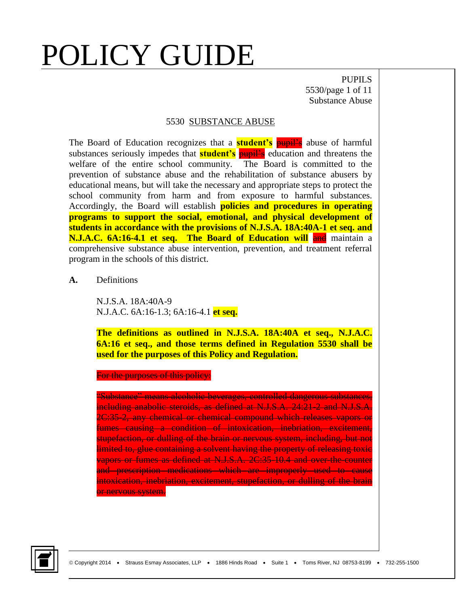PUPILS 5530/page 1 of 11 Substance Abuse

#### 5530 SUBSTANCE ABUSE

The Board of Education recognizes that a **student's** pupil's abuse of harmful substances seriously impedes that **student's** pupil's education and threatens the welfare of the entire school community. The Board is committed to the prevention of substance abuse and the rehabilitation of substance abusers by educational means, but will take the necessary and appropriate steps to protect the school community from harm and from exposure to harmful substances. Accordingly, the Board will establish **policies and procedures in operating programs to support the social, emotional, and physical development of students in accordance with the provisions of N.J.S.A. 18A:40A-1 et seq. and N.J.A.C. 6A:16-4.1 et seq. The Board of Education will and maintain a** comprehensive substance abuse intervention, prevention, and treatment referral program in the schools of this district.

**A.** Definitions

N.J.S.A. 18A:40A-9 N.J.A.C. 6A:16-1.3; 6A:16-4.1 **et seq.**

**The definitions as outlined in N.J.S.A. 18A:40A et seq., N.J.A.C. 6A:16 et seq., and those terms defined in Regulation 5530 shall be used for the purposes of this Policy and Regulation.**

For the purposes of this policy:

"Substance" means alcoholic beverages, controlled dangerous substances, including anabolic steroids, as defined at N.J.S.A. 24:21-2 and N.J.S.A. 2C:35-2, any chemical or chemical compound which releases vapors or fumes causing a condition of intoxication, inebriation, excitement, stupefaction, or dulling of the brain or nervous system, including, but not limited to, glue containing a solvent having the property of releasing toxic vapors or fumes as defined at N.J.S.A. 2C:35-10.4 and over-the-counter and prescription medications which are improperly used to cause intoxication, inebriation, excitement, stupefaction, or dulling of the brain or nervous system.

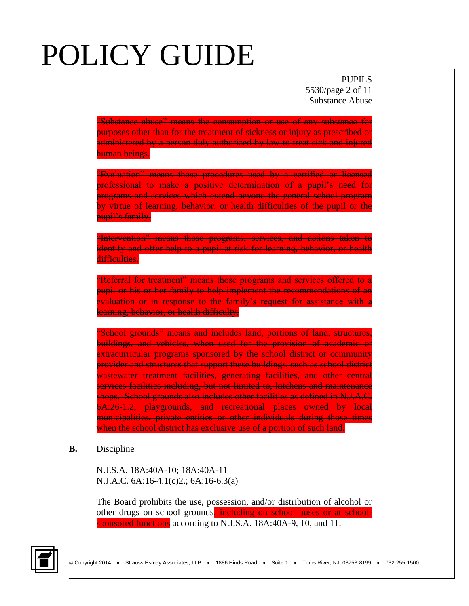PUPILS 5530/page 2 of 11 Substance Abuse

"Substance abuse" means the consumption or use of any substance for purposes other than for the treatment of sickness or injury as prescribed or administered by a person duly authorized by law to treat sick and injured human beings.

"Evaluation" means those procedures used by a certified or licensed professional to make a positive determination of a pupil's need for programs and services which extend beyond the general school program by virtue of learning, behavior, or health difficulties of the pupil or the pupil's family.

"Intervention" means those programs, services, and actions taken to identify and offer help to a pupil at risk for learning, behavior, or health difficulties.

"Referral for treatment" means those programs and services offered to a pupil or his or her family to help implement the recommendations of an evaluation or in response to the family's request for assistance with a learning, behavior, or health difficulty.

"School grounds" means and includes land, portions of land, structures, buildings, and vehicles, when used for the provision of academic or extracurricular programs sponsored by the school district or community provider and structures that support these buildings, such as school district wastewater treatment facilities, generating facilities, and other central services facilities including, but not limited to, kitchens and maintenance shops. School grounds also includes other facilities as defined in N.J.A.C. 6A:26-1.2, playgrounds, and recreational places owned by local municipalities, private entities or other individuals during those times when the school district has exclusive use of a portion of such land.

**B.** Discipline

N.J.S.A. 18A:40A-10; 18A:40A-11 N.J.A.C. 6A:16-4.1(c)2.; 6A:16-6.3(a)

The Board prohibits the use, possession, and/or distribution of alcohol or other drugs on school grounds<del>, including on school buses or at school-</del> sponsored functions according to N.J.S.A. 18A:40A-9, 10, and 11.

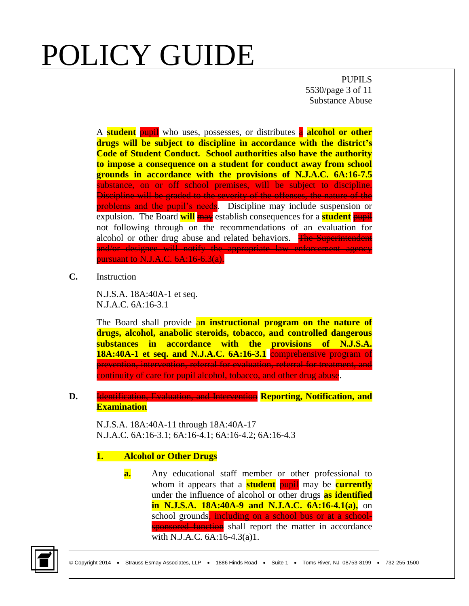PUPILS 5530/page 3 of 11 Substance Abuse

A **student** pupil who uses, possesses, or distributes a **alcohol or other drugs will be subject to discipline in accordance with the district's Code of Student Conduct. School authorities also have the authority to impose a consequence on a student for conduct away from school grounds in accordance with the provisions of N.J.A.C. 6A:16-7.5** substance, on or off school premises, will be subject to discipline. Discipline will be graded to the severity of the offenses, the nature of the problems and the pupil's needs. Discipline may include suspension or expulsion. The Board **will** may establish consequences for a **student** pupil not following through on the recommendations of an evaluation for alcohol or other drug abuse and related behaviors. The Superintendent and/or designee will notify the appropriate law enforcement agency pursuant to N.J.A.C. 6A:16-6.3(a).

**C.** Instruction

N.J.S.A. 18A:40A-1 et seq. N.J.A.C. 6A:16-3.1

The Board shall provide a**n instructional program on the nature of drugs, alcohol, anabolic steroids, tobacco, and controlled dangerous substances in accordance with the provisions of N.J.S.A. 18A:40A-1 et seq. and N.J.A.C. 6A:16-3.1** comprehensive program of prevention, intervention, referral for evaluation, referral for treatment, and continuity of care for pupil alcohol, tobacco, and other drug abuse.

### **D.** Identification, Evaluation, and Intervention **Reporting, Notification, and Examination**

N.J.S.A. 18A:40A-11 through 18A:40A-17 N.J.A.C. 6A:16-3.1; 6A:16-4.1; 6A:16-4.2; 6A:16-4.3

### **1. Alcohol or Other Drugs**

**a.** Any educational staff member or other professional to whom it appears that a **student pupil** may be **currently** under the influence of alcohol or other drugs **as identified in N.J.S.A. 18A:40A-9 and N.J.A.C. 6A:16-4.1(a),** on school grounds<del>, including on a school bus or at a school-</del> sponsored function shall report the matter in accordance with N.J.A.C. 6A:16-4.3(a)1.

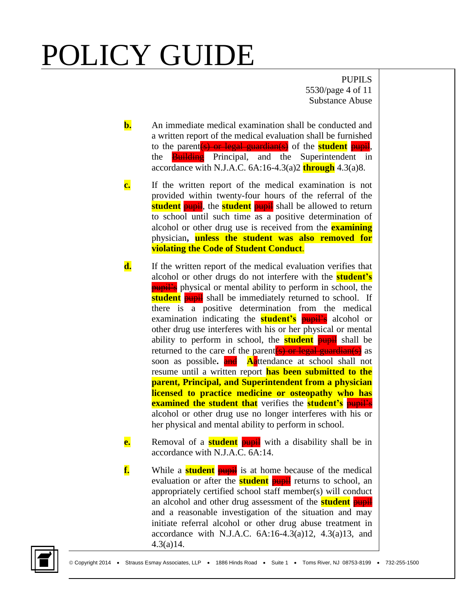PUPILS 5530/page 4 of 11 Substance Abuse

- **b.** An immediate medical examination shall be conducted and a written report of the medical evaluation shall be furnished to the parent(s) or legal guardian(s) of the **student** pupil, the **Building** Principal, and the Superintendent in accordance with N.J.A.C. 6A:16-4.3(a)2 **through** 4.3(a)8.
- **c.** If the written report of the medical examination is not provided within twenty-four hours of the referral of the **student pupil**, the **student pupil** shall be allowed to return to school until such time as a positive determination of alcohol or other drug use is received from the **examining** physician**, unless the student was also removed for violating the Code of Student Conduct**.
- **d.** If the written report of the medical evaluation verifies that alcohol or other drugs do not interfere with the **student's pupil's** physical or mental ability to perform in school, the **student pupil** shall be immediately returned to school. If there is a positive determination from the medical examination indicating the **student's pupil's** alcohol or other drug use interferes with his or her physical or mental ability to perform in school, the **student** pupil shall be returned to the care of the parent  $(s)$  or legal guardian(s) as soon as possible. **and Aattendance** at school shall not resume until a written report **has been submitted to the parent, Principal, and Superintendent from a physician licensed to practice medicine or osteopathy who has examined the student that** verifies the **student's pupil's** alcohol or other drug use no longer interferes with his or her physical and mental ability to perform in school.
- **e.** Removal of a **student pupil** with a disability shall be in accordance with N.J.A.C. 6A:14.
- **f.** While a **student pupil** is at home because of the medical evaluation or after the **student** pupil returns to school, an appropriately certified school staff member(s) will conduct an alcohol and other drug assessment of the **student** pupil and a reasonable investigation of the situation and may initiate referral alcohol or other drug abuse treatment in accordance with N.J.A.C.  $6A:16-4.3(a)12$ ,  $4.3(a)13$ , and 4.3(a)14.

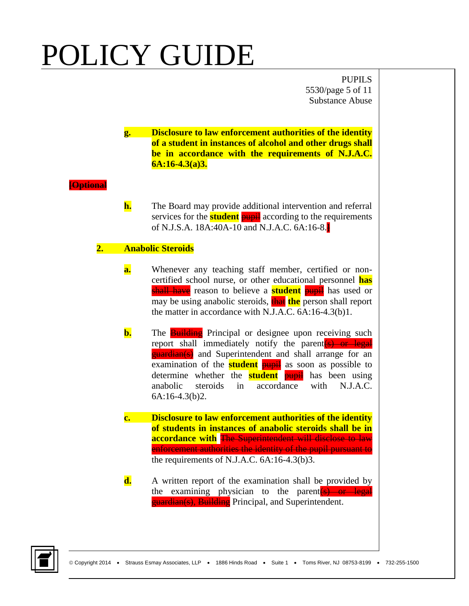PUPILS 5530/page 5 of 11 Substance Abuse

**g. Disclosure to law enforcement authorities of the identity of a student in instances of alcohol and other drugs shall be in accordance with the requirements of N.J.A.C. 6A:16-4.3(a)3.**

### **[Optional**

**h.** The Board may provide additional intervention and referral services for the **student pupil** according to the requirements of N.J.S.A. 18A:40A-10 and N.J.A.C. 6A:16-8.**]**

### **2. Anabolic Steroids**

- **a.** Whenever any teaching staff member, certified or noncertified school nurse, or other educational personnel **has** shall have reason to believe a **student** pupil has used or may be using anabolic steroids, **that the** person shall report the matter in accordance with N.J.A.C. 6A:16-4.3(b)1.
- **b.** The **Building** Principal or designee upon receiving such report shall immediately notify the parent<sup>(s)</sup> or legal **guardian(s)** and Superintendent and shall arrange for an examination of the **student pupil** as soon as possible to determine whether the **student** pupil has been using anabolic steroids in accordance with N.J.A.C. 6A:16-4.3(b)2.
- **c. Disclosure to law enforcement authorities of the identity of students in instances of anabolic steroids shall be in accordance with** The Superintendent will disclose to law enforcement authorities the identity of the pupil pursuant to the requirements of N.J.A.C. 6A:16-4.3(b)3.
- **d.** A written report of the examination shall be provided by the examining physician to the parent (s) or legal **guardian(s), Building** Principal, and Superintendent.

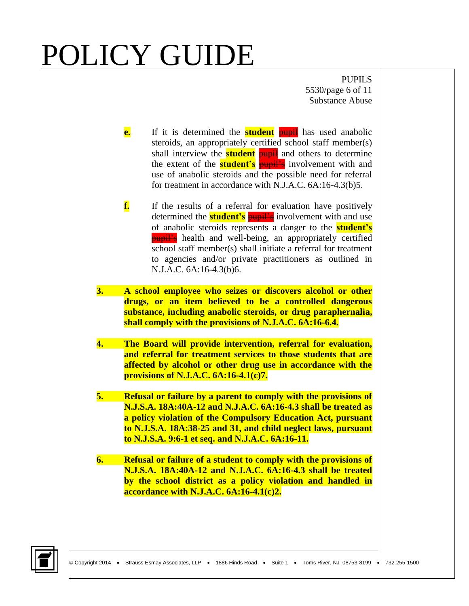PUPILS 5530/page 6 of 11 Substance Abuse

- **e.** If it is determined the **student pupil** has used anabolic steroids, an appropriately certified school staff member(s) shall interview the **student pupil** and others to determine the extent of the **student's pupil's** involvement with and use of anabolic steroids and the possible need for referral for treatment in accordance with N.J.A.C. 6A:16-4.3(b)5.
- **f.** If the results of a referral for evaluation have positively determined the **student's pupil's** involvement with and use of anabolic steroids represents a danger to the **student's pupil's** health and well-being, an appropriately certified school staff member(s) shall initiate a referral for treatment to agencies and/or private practitioners as outlined in N.J.A.C. 6A:16-4.3(b)6.
- **3. A school employee who seizes or discovers alcohol or other drugs, or an item believed to be a controlled dangerous substance, including anabolic steroids, or drug paraphernalia, shall comply with the provisions of N.J.A.C. 6A:16-6.4.**
- **4. The Board will provide intervention, referral for evaluation, and referral for treatment services to those students that are affected by alcohol or other drug use in accordance with the provisions of N.J.A.C. 6A:16-4.1(c)7.**
- **5. Refusal or failure by a parent to comply with the provisions of N.J.S.A. 18A:40A-12 and N.J.A.C. 6A:16-4.3 shall be treated as a policy violation of the Compulsory Education Act, pursuant to N.J.S.A. 18A:38-25 and 31, and child neglect laws, pursuant to N.J.S.A. 9:6-1 et seq. and N.J.A.C. 6A:16-11.**
- **6. Refusal or failure of a student to comply with the provisions of N.J.S.A. 18A:40A-12 and N.J.A.C. 6A:16-4.3 shall be treated by the school district as a policy violation and handled in accordance with N.J.A.C. 6A:16-4.1(c)2.**

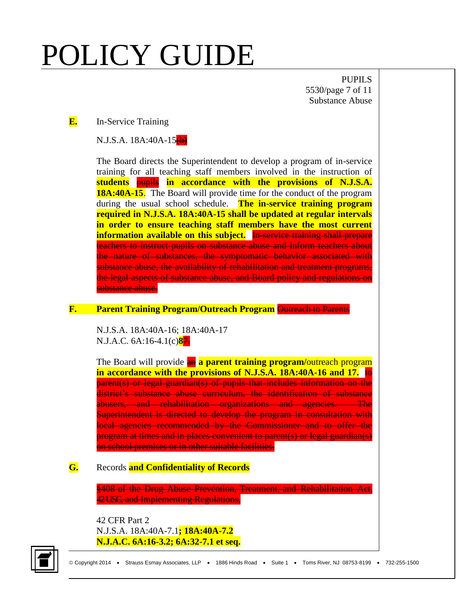PUPILS 5530/page 7 of 11 Substance Abuse

#### **E.** In-Service Training

 $N.J.S.A. 18A:40A-15(4)$ 

The Board directs the Superintendent to develop a program of in-service training for all teaching staff members involved in the instruction of **students** pupils **in accordance with the provisions of N.J.S.A. 18A:40A-15.** The Board will provide time for the conduct of the program during the usual school schedule. **The in-service training program required in N.J.S.A. 18A:40A-15 shall be updated at regular intervals in order to ensure teaching staff members have the most current information available on this subject.** In service training shall prepare teachers to instruct pupils on substance abuse and inform teachers about the nature of substances, the symptomatic behavior associated with substance abuse, the availability of rehabilitation and treatment programs, the legal aspects of substance abuse, and Board policy and regulations on substance abuse.

#### **F. Parent Training Program/Outreach Program** Outreach to Parents

N.J.S.A. 18A:40A-16; 18A:40A-17 N.J.A.C. 6A:16-4.1(c)**8**7.

The Board will provide an **a parent training program/**outreach program **in accordance with the provisions of N.J.S.A. 18A:40A-16 and 17.** to parent(s) or legal guardian(s) of pupils that includes information on the district's substance abuse curriculum, the identification of substance abusers, and rehabilitation organizations and agencies. The Superintendent is directed to develop the program in consultation with local agencies recommended by the Commissioner and to offer the program at times and in places convenient to parent(s) or legal guardian(s) on school premises or in other suitable facilities.

### **G.** Records **and Confidentiality of Records**

§408 of the Drug Abuse Prevention, Treatment, and Rehabilitation Act, 42 USC, and Implementing Regulations,

42 CFR Part 2 N.J.S.A. 18A:40A-7.1**; 18A:40A-7.2 N.J.A.C. 6A:16-3.2; 6A:32-7.1 et seq.**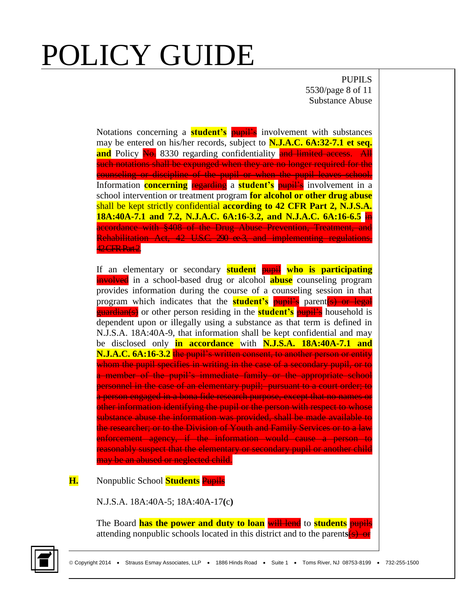PUPILS 5530/page 8 of 11 Substance Abuse

Notations concerning a **student's pupil's** involvement with substances may be entered on his/her records, subject to **N.J.A.C. 6A:32-7.1 et seq. and** Policy No. 8330 regarding confidentiality and limited access. All such notations shall be expunged when they are no longer required for the counseling or discipline of the pupil or when the pupil leaves school. Information **concerning** regarding a **student's** pupil's involvement in a school intervention or treatment program **for alcohol or other drug abuse**  shall be kept strictly confidential **according to 42 CFR Part 2, N.J.S.A. 18A:40A-7.1 and 7.2, N.J.A.C. 6A:16-3.2, and N.J.A.C. 6A:16-6.5** in accordance with §408 of the Drug Abuse Prevention, Treatment, and Rehabilitation Act, 42 U.S.C. 290 ee 3, and implementing regulations, 42 CFR Part 2.

If an elementary or secondary **student** pupil **who is participating** involved in a school-based drug or alcohol **abuse** counseling program provides information during the course of a counseling session in that program which indicates that the **student's** pupil's parent(s) or legal guardian(s) or other person residing in the **student's** pupil's household is dependent upon or illegally using a substance as that term is defined in N.J.S.A. 18A:40A-9, that information shall be kept confidential and may be disclosed only **in accordance** with **N.J.S.A. 18A:40A-7.1 and N.J.A.C. 6A:16-3.2** the pupil's written consent, to another person or entity whom the pupil specifies in writing in the case of a secondary pupil, or to a member of the pupil's immediate family or the appropriate school personnel in the case of an elementary pupil; pursuant to a court order; to a person engaged in a bona fide research purpose, except that no names or other information identifying the pupil or the person with respect to whose substance abuse the information was provided, shall be made available to the researcher; or to the Division of Youth and Family Services or to a law enforcement agency, if the information would cause a person to reasonably suspect that the elementary or secondary pupil or another child may be an abused or neglected child.

### **H.** Nonpublic School **Students** Pupils

N.J.S.A. 18A:40A-5; 18A:40A-17**(**c**)**

The Board **has the power and duty to loan** will lend to **students** pupils attending nonpublic schools located in this district and to the parent**s**(s) or

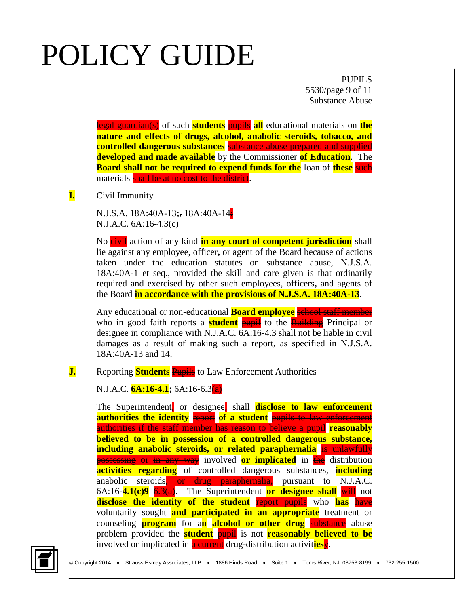PUPILS 5530/page 9 of 11 Substance Abuse

legal guardian(s) of such **students** pupils **all** educational materials on **the nature and effects of drugs, alcohol, anabolic steroids, tobacco, and controlled dangerous substances** substance abuse prepared and supplied **developed and made available** by the Commissioner **of Education**. The **Board shall not be required to expend funds for the loan of these such** materials shall be at no cost to the district.

### **I.** Civil Immunity

N.J.S.A. 18A:40A-13**;**, 18A:40A-14; N.J.A.C. 6A:16-4.3(c)

No **eivil** action of any kind **in any court of competent jurisdiction** shall lie against any employee, officer**,** or agent of the Board because of actions taken under the education statutes on substance abuse, N.J.S.A. 18A:40A-1 et seq., provided the skill and care given is that ordinarily required and exercised by other such employees, officers**,** and agents of the Board **in accordance with the provisions of N.J.S.A. 18A:40A-13**.

Any educational or non-educational **Board employee** school staff member who in good faith reports a **student pupil** to the **Building** Principal or designee in compliance with N.J.A.C. 6A:16-4.3 shall not be liable in civil damages as a result of making such a report, as specified in N.J.S.A. 18A:40A-13 and 14.

### **J.** Reporting **Students** Pupils to Law Enforcement Authorities

N.J.A.C. **6A:16-4.1;** 6A:16-6.3(a)

The Superintendent, or designee, shall **disclose to law enforcement authorities the identity** report **of a student** pupils to law enforcement authorities if the staff member has reason to believe a pupil **reasonably believed to be in possession of a controlled dangerous substance, including anabolic steroids, or related paraphernalia** is unlawfully **possessing or in any way** involved **or implicated** in the distribution **activities regarding** of controlled dangerous substances, **including** anabolic steroids or drug paraphernalia, pursuant to N.J.A.C. 6A:16-**4.1(c)9** 6.3(a). The Superintendent **or designee shall** will not **disclose the identity of the student** report pupils who has have voluntarily sought **and participated in an appropriate** treatment or counseling **program** for a**n alcohol or other drug** substance abuse problem provided the **student** pupil is not **reasonably believed to be** involved or implicated in a current drug**-**distribution activit**ies**y.

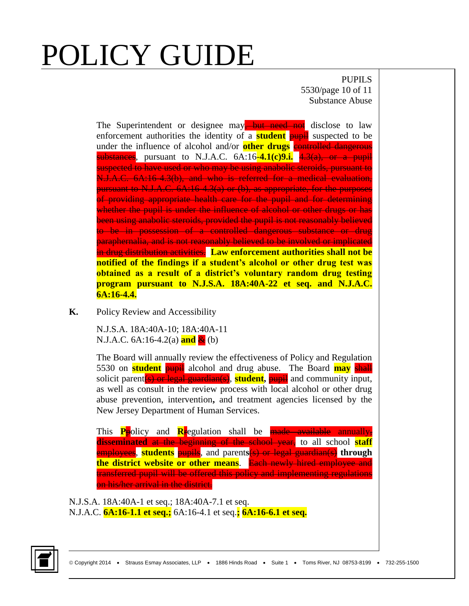PUPILS 5530/page 10 of 11 Substance Abuse

The Superintendent or designee may<del>, but need not</del> disclose to law enforcement authorities the identity of a **student** pupil suspected to be under the influence of alcohol and/or **other drugs** controlled dangerous substances, pursuant to N.J.A.C. 6A:16-**4.1(c)9.i.** 4.3(a), or a pupil suspected to have used or who may be using anabolic steroids, pursuant to N.J.A.C. 6A:16-4.3(b), and who is referred for a medical evaluation, pursuant to N.J.A.C. 6A:16-4.3(a) or (b), as appropriate, for the purposes of providing appropriate health care for the pupil and for determining whether the pupil is under the influence of alcohol or other drugs or has been using anabolic steroids, provided the pupil is not reasonably believed to be in possession of a controlled dangerous substance or drug paraphernalia, and is not reasonably believed to be involved or implicated in drug distribution activities. **Law enforcement authorities shall not be notified of the findings if a student's alcohol or other drug test was obtained as a result of a district's voluntary random drug testing program pursuant to N.J.S.A. 18A:40A-22 et seq. and N.J.A.C. 6A:16-4.4.**

**K.** Policy Review and Accessibility

N.J.S.A. 18A:40A-10; 18A:40A-11 N.J.A.C. 6A:16-4.2(a) **and** & (b)

The Board will annually review the effectiveness of Policy and Regulation 5530 on **student** pupil alcohol and drug abuse. The Board **may** shall solicit parent(s) or legal guardian(s), **student,** pupil and community input, as well as consult in the review process with local alcohol or other drug abuse prevention, intervention**,** and treatment agencies licensed by the New Jersey Department of Human Services.

This **P**policy and **R**regulation shall be made available annually, **disseminated** at the beginning of the school year, to all school **staff** employees, **students** pupils, and parent**s**(s) or legal guardian(s) **through the district website or other means**. Each newly hired employee and transferred pupil will be offered this policy and implementing regulations on his/her arrival in the district.

N.J.S.A. 18A:40A-1 et seq.; 18A:40A-7.1 et seq. N.J.A.C. **6A:16-1.1 et seq.;** 6A:16-4.1 et seq.**; 6A:16-6.1 et seq.**